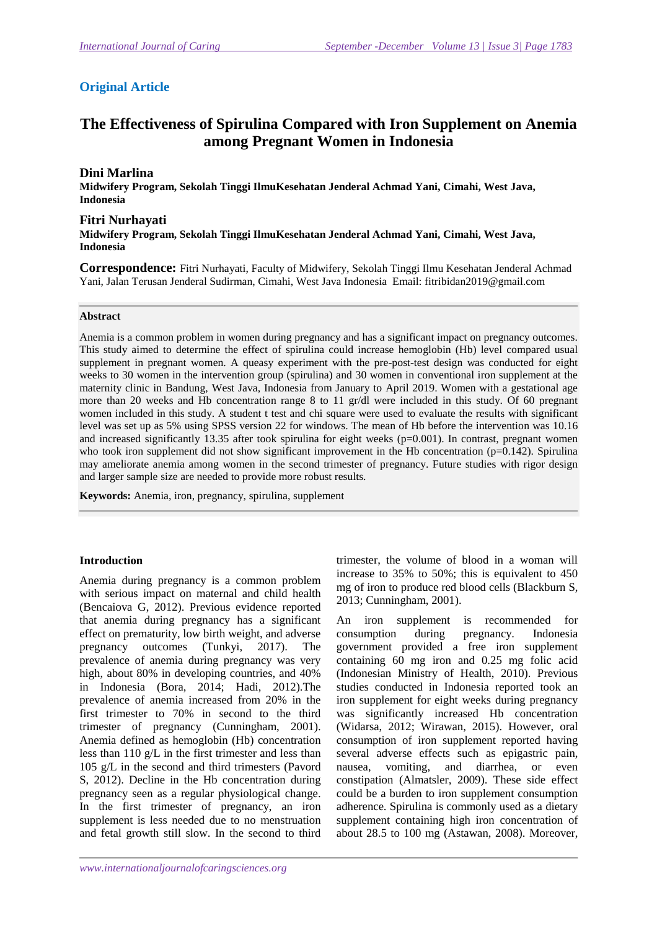## **Original Article**

# **The Effectiveness of Spirulina Compared with Iron Supplement on Anemia among Pregnant Women in Indonesia**

## **Dini Marlina**

**Midwifery Program, Sekolah Tinggi IlmuKesehatan Jenderal Achmad Yani, Cimahi, West Java, Indonesia** 

### **Fitri Nurhayati**

**Midwifery Program, Sekolah Tinggi IlmuKesehatan Jenderal Achmad Yani, Cimahi, West Java, Indonesia** 

**Correspondence:** Fitri Nurhayati, Faculty of Midwifery, Sekolah Tinggi Ilmu Kesehatan Jenderal Achmad Yani, Jalan Terusan Jenderal Sudirman, Cimahi, West Java Indonesia Email: fitribidan2019@gmail.com

#### **Abstract**

Anemia is a common problem in women during pregnancy and has a significant impact on pregnancy outcomes. This study aimed to determine the effect of spirulina could increase hemoglobin (Hb) level compared usual supplement in pregnant women. A queasy experiment with the pre-post-test design was conducted for eight weeks to 30 women in the intervention group (spirulina) and 30 women in conventional iron supplement at the maternity clinic in Bandung, West Java, Indonesia from January to April 2019. Women with a gestational age more than 20 weeks and Hb concentration range 8 to 11 gr/dl were included in this study. Of 60 pregnant women included in this study. A student t test and chi square were used to evaluate the results with significant level was set up as 5% using SPSS version 22 for windows. The mean of Hb before the intervention was 10.16 and increased significantly 13.35 after took spirulina for eight weeks (p=0.001). In contrast, pregnant women who took iron supplement did not show significant improvement in the Hb concentration  $(p=0.142)$ . Spirulina may ameliorate anemia among women in the second trimester of pregnancy. Future studies with rigor design and larger sample size are needed to provide more robust results.

**Keywords:** Anemia, iron, pregnancy, spirulina, supplement

### **Introduction**

Anemia during pregnancy is a common problem with serious impact on maternal and child health (Bencaiova G, 2012). Previous evidence reported that anemia during pregnancy has a significant effect on prematurity, low birth weight, and adverse pregnancy outcomes (Tunkyi, 2017). The prevalence of anemia during pregnancy was very high, about 80% in developing countries, and 40% in Indonesia (Bora, 2014; Hadi, 2012).The prevalence of anemia increased from 20% in the first trimester to 70% in second to the third trimester of pregnancy (Cunningham, 2001). Anemia defined as hemoglobin (Hb) concentration less than 110 g/L in the first trimester and less than 105 g/L in the second and third trimesters (Pavord S, 2012). Decline in the Hb concentration during pregnancy seen as a regular physiological change. In the first trimester of pregnancy, an iron supplement is less needed due to no menstruation and fetal growth still slow. In the second to third trimester, the volume of blood in a woman will increase to 35% to 50%; this is equivalent to 450 mg of iron to produce red blood cells (Blackburn S, 2013; Cunningham, 2001).

An iron supplement is recommended for consumption during pregnancy. Indonesia government provided a free iron supplement containing 60 mg iron and 0.25 mg folic acid (Indonesian Ministry of Health, 2010). Previous studies conducted in Indonesia reported took an iron supplement for eight weeks during pregnancy was significantly increased Hb concentration (Widarsa, 2012; Wirawan, 2015). However, oral consumption of iron supplement reported having several adverse effects such as epigastric pain, nausea, vomiting, and diarrhea, or even constipation (Almatsler, 2009). These side effect could be a burden to iron supplement consumption adherence. Spirulina is commonly used as a dietary supplement containing high iron concentration of about 28.5 to 100 mg (Astawan, 2008). Moreover,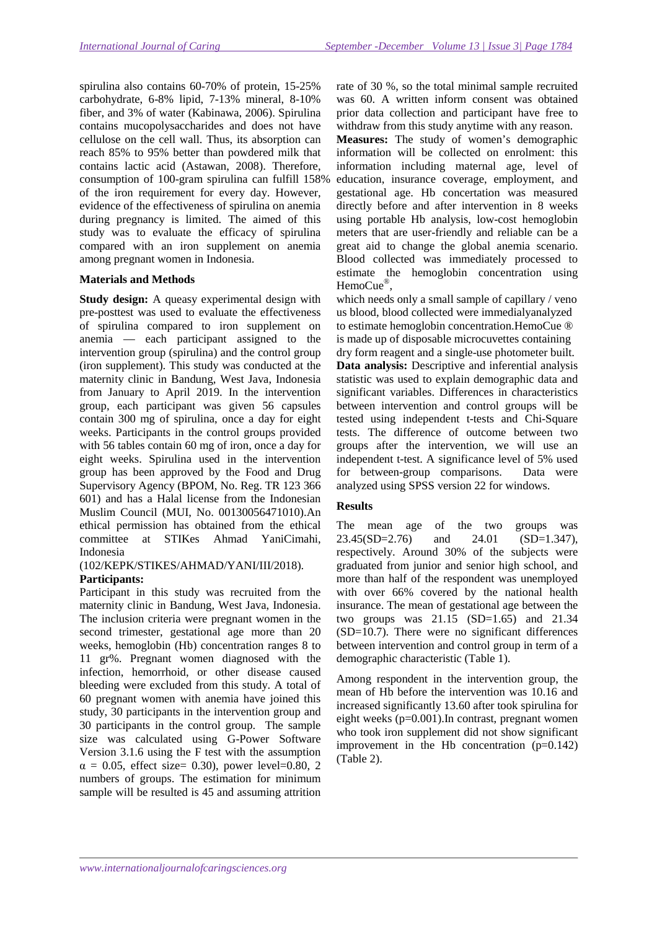spirulina also contains 60-70% of protein, 15-25% carbohydrate, 6-8% lipid, 7-13% mineral, 8-10% fiber, and 3% of water (Kabinawa, 2006). Spirulina contains mucopolysaccharides and does not have cellulose on the cell wall. Thus, its absorption can reach 85% to 95% better than powdered milk that contains lactic acid (Astawan, 2008). Therefore, consumption of 100-gram spirulina can fulfill 158% of the iron requirement for every day. However, evidence of the effectiveness of spirulina on anemia during pregnancy is limited. The aimed of this study was to evaluate the efficacy of spirulina compared with an iron supplement on anemia among pregnant women in Indonesia.

### **Materials and Methods**

**Study design:** A queasy experimental design with pre-posttest was used to evaluate the effectiveness of spirulina compared to iron supplement on anemia — each participant assigned to the intervention group (spirulina) and the control group (iron supplement). This study was conducted at the maternity clinic in Bandung, West Java, Indonesia from January to April 2019. In the intervention group, each participant was given 56 capsules contain 300 mg of spirulina, once a day for eight weeks. Participants in the control groups provided with 56 tables contain 60 mg of iron, once a day for eight weeks. Spirulina used in the intervention group has been approved by the Food and Drug Supervisory Agency (BPOM, No. Reg. TR 123 366 601) and has a Halal license from the Indonesian Muslim Council (MUI, No. 00130056471010).An ethical permission has obtained from the ethical committee at STIKes Ahmad YaniCimahi, Indonesia

(102/KEPK/STIKES/AHMAD/YANI/III/2018).

### **Participants:**

Participant in this study was recruited from the maternity clinic in Bandung, West Java, Indonesia. The inclusion criteria were pregnant women in the second trimester, gestational age more than 20 weeks, hemoglobin (Hb) concentration ranges 8 to 11 gr%. Pregnant women diagnosed with the infection, hemorrhoid, or other disease caused bleeding were excluded from this study. A total of 60 pregnant women with anemia have joined this study, 30 participants in the intervention group and 30 participants in the control group. The sample size was calculated using G-Power Software Version 3.1.6 using the F test with the assumption  $\alpha = 0.05$ , effect size= 0.30), power level=0.80, 2 numbers of groups. The estimation for minimum sample will be resulted is 45 and assuming attrition

rate of 30 %, so the total minimal sample recruited was 60. A written inform consent was obtained prior data collection and participant have free to withdraw from this study anytime with any reason.

**Measures:** The study of women's demographic information will be collected on enrolment: this information including maternal age, level of education, insurance coverage, employment, and gestational age. Hb concertation was measured directly before and after intervention in 8 weeks using portable Hb analysis, low-cost hemoglobin meters that are user-friendly and reliable can be a great aid to change the global anemia scenario. Blood collected was immediately processed to estimate the hemoglobin concentration using HemoCue<sup>®</sup>,

which needs only a small sample of capillary / veno us blood, blood collected were immedialyanalyzed to estimate hemoglobin concentration.HemoCue ® is made up of disposable microcuvettes containing dry form reagent and a single-use photometer built.

**Data analysis:** Descriptive and inferential analysis statistic was used to explain demographic data and significant variables. Differences in characteristics between intervention and control groups will be tested using independent t-tests and Chi-Square tests. The difference of outcome between two groups after the intervention, we will use an independent t-test. A significance level of 5% used for between-group comparisons. Data were analyzed using SPSS version 22 for windows.

### **Results**

The mean age of the two groups was 23.45(SD=2.76) and 24.01 (SD=1.347), respectively. Around 30% of the subjects were graduated from junior and senior high school, and more than half of the respondent was unemployed with over 66% covered by the national health insurance. The mean of gestational age between the two groups was 21.15 (SD=1.65) and 21.34 (SD=10.7). There were no significant differences between intervention and control group in term of a demographic characteristic (Table 1).

Among respondent in the intervention group, the mean of Hb before the intervention was 10.16 and increased significantly 13.60 after took spirulina for eight weeks (p=0.001).In contrast, pregnant women who took iron supplement did not show significant improvement in the Hb concentration  $(p=0.142)$ (Table 2).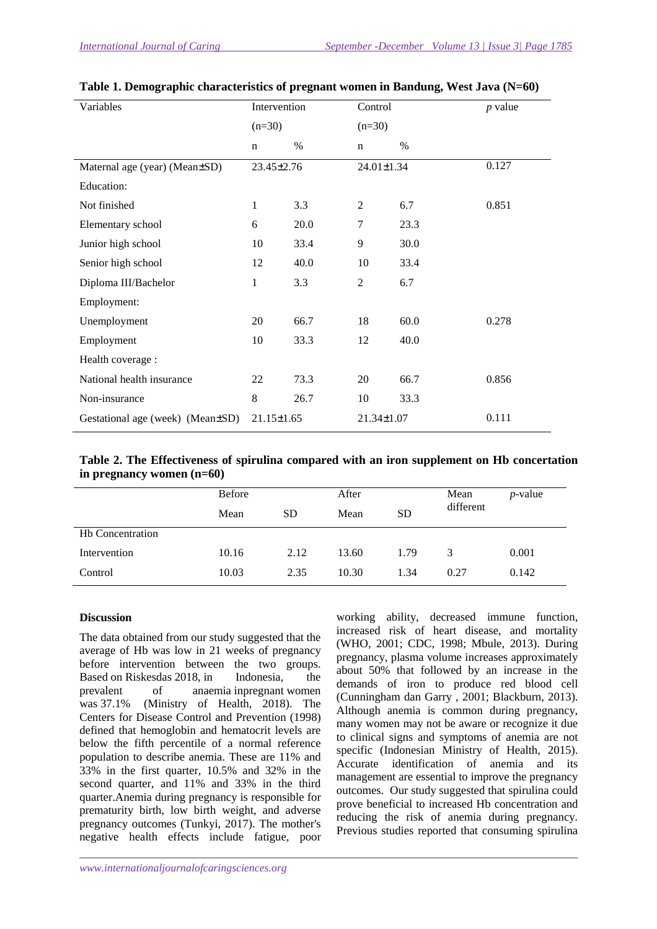| Variables                        | Intervention     |      | Control          |      | <i>p</i> value |
|----------------------------------|------------------|------|------------------|------|----------------|
|                                  | $(n=30)$         |      | $(n=30)$         |      |                |
|                                  | $\mathbf n$      | $\%$ | $\mathbf n$      | $\%$ |                |
| Maternal age (year) (Mean±SD)    | 23.45±2.76       |      | 24.01±1.34       |      | 0.127          |
| Education:                       |                  |      |                  |      |                |
| Not finished                     | 1                | 3.3  | 2                | 6.7  | 0.851          |
| Elementary school                | 6                | 20.0 | 7                | 23.3 |                |
| Junior high school               | 10               | 33.4 | 9                | 30.0 |                |
| Senior high school               | 12               | 40.0 | 10               | 33.4 |                |
| Diploma III/Bachelor             | 1                | 3.3  | $\overline{2}$   | 6.7  |                |
| Employment:                      |                  |      |                  |      |                |
| Unemployment                     | 20               | 66.7 | 18               | 60.0 | 0.278          |
| Employment                       | 10               | 33.3 | 12               | 40.0 |                |
| Health coverage :                |                  |      |                  |      |                |
| National health insurance        | 22               | 73.3 | 20               | 66.7 | 0.856          |
| Non-insurance                    | 8                | 26.7 | 10               | 33.3 |                |
| Gestational age (week) (Mean±SD) | $21.15 \pm 1.65$ |      | $21.34 \pm 1.07$ |      | 0.111          |

| Table 1. Demographic characteristics of pregnant women in Bandung, West Java (N=60) |  |  |  |  |  |
|-------------------------------------------------------------------------------------|--|--|--|--|--|
|-------------------------------------------------------------------------------------|--|--|--|--|--|

| Table 2. The Effectiveness of spirulina compared with an iron supplement on Hb concertation |  |  |  |
|---------------------------------------------------------------------------------------------|--|--|--|
| in pregnancy women $(n=60)$                                                                 |  |  |  |

|                         | <b>Before</b> |           | After             |      | Mean      | <i>p</i> -value |
|-------------------------|---------------|-----------|-------------------|------|-----------|-----------------|
|                         | Mean          | <b>SD</b> | <b>SD</b><br>Mean |      | different |                 |
| <b>Hb</b> Concentration |               |           |                   |      |           |                 |
| Intervention            | 10.16         | 2.12      | 13.60             | 1.79 | 3         | 0.001           |
| Control                 | 10.03         | 2.35      | 10.30             | 1.34 | 0.27      | 0.142           |

### **Discussion**

The data obtained from our study suggested that the average of Hb was low in 21 weeks of pregnancy before intervention between the two groups. Based on Riskesdas 2018, in Indonesia, the prevalent of anaemia inpregnant women was 37.1% (Ministry of Health, 2018). The Centers for Disease Control and Prevention (1998) defined that hemoglobin and hematocrit levels are below the fifth percentile of a normal reference population to describe anemia. These are 11% and 33% in the first quarter, 10.5% and 32% in the second quarter, and 11% and 33% in the third quarter.Anemia during pregnancy is responsible for prematurity birth, low birth weight, and adverse pregnancy outcomes (Tunkyi, 2017). The mother's negative health effects include fatigue, poor

working ability, decreased immune function, increased risk of heart disease, and mortality (WHO, 2001; CDC, 1998; Mbule, 2013). During pregnancy, plasma volume increases approximately about 50% that followed by an increase in the demands of iron to produce red blood cell (Cunningham dan Garry , 2001; Blackburn, 2013). Although anemia is common during pregnancy, many women may not be aware or recognize it due to clinical signs and symptoms of anemia are not specific (Indonesian Ministry of Health, 2015). Accurate identification of anemia and its management are essential to improve the pregnancy outcomes. Our study suggested that spirulina could prove beneficial to increased Hb concentration and reducing the risk of anemia during pregnancy. Previous studies reported that consuming spirulina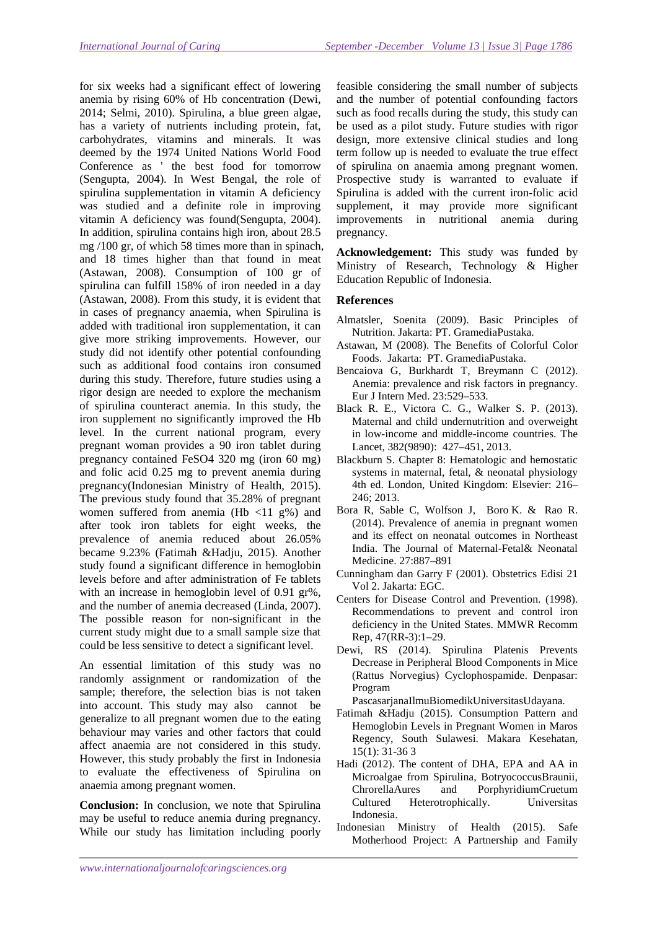for six weeks had a significant effect of lowering anemia by rising 60% of Hb concentration (Dewi, 2014; Selmi, 2010). Spirulina, a blue green algae, has a variety of nutrients including protein, fat, carbohydrates, vitamins and minerals. It was deemed by the 1974 United Nations World Food Conference as ' the best food for tomorrow (Sengupta, 2004). In West Bengal, the role of spirulina supplementation in vitamin A deficiency was studied and a definite role in improving vitamin A deficiency was found(Sengupta, 2004). In addition, spirulina contains high iron, about 28.5 mg /100 gr, of which 58 times more than in spinach, and 18 times higher than that found in meat (Astawan, 2008). Consumption of 100 gr of spirulina can fulfill 158% of iron needed in a day (Astawan, 2008). From this study, it is evident that in cases of pregnancy anaemia, when Spirulina is added with traditional iron supplementation, it can give more striking improvements. However, our study did not identify other potential confounding such as additional food contains iron consumed during this study. Therefore, future studies using a rigor design are needed to explore the mechanism of spirulina counteract anemia. In this study, the iron supplement no significantly improved the Hb level. In the current national program, every pregnant woman provides a 90 iron tablet during pregnancy contained FeSO4 320 mg (iron 60 mg) and folic acid 0.25 mg to prevent anemia during pregnancy(Indonesian Ministry of Health, 2015). The previous study found that 35.28% of pregnant women suffered from anemia (Hb <11 g%) and after took iron tablets for eight weeks, the prevalence of anemia reduced about 26.05% became 9.23% (Fatimah &Hadju, 2015). Another study found a significant difference in hemoglobin levels before and after administration of Fe tablets with an increase in hemoglobin level of 0.91 gr%, and the number of anemia decreased (Linda, 2007). The possible reason for non-significant in the current study might due to a small sample size that could be less sensitive to detect a significant level.

An essential limitation of this study was no randomly assignment or randomization of the sample; therefore, the selection bias is not taken into account. This study may also cannot be generalize to all pregnant women due to the eating behaviour may varies and other factors that could affect anaemia are not considered in this study. However, this study probably the first in Indonesia to evaluate the effectiveness of Spirulina on anaemia among pregnant women.

**Conclusion:** In conclusion, we note that Spirulina may be useful to reduce anemia during pregnancy. While our study has limitation including poorly

feasible considering the small number of subjects and the number of potential confounding factors such as food recalls during the study, this study can be used as a pilot study. Future studies with rigor design, more extensive clinical studies and long term follow up is needed to evaluate the true effect of spirulina on anaemia among pregnant women. Prospective study is warranted to evaluate if Spirulina is added with the current iron-folic acid supplement, it may provide more significant improvements in nutritional anemia during pregnancy.

**Acknowledgement:** This study was funded by Ministry of Research, Technology & Higher Education Republic of Indonesia.

## **References**

- Almatsler, Soenita (2009). Basic Principles of Nutrition. Jakarta: PT. GramediaPustaka.
- Astawan, M (2008). The Benefits of Colorful Color Foods. Jakarta: PT. GramediaPustaka.
- Bencaiova G, Burkhardt T, Breymann C (2012). Anemia: prevalence and risk factors in pregnancy. Eur J Intern Med. 23:529–533.
- Black R. E., Victora C. G., Walker S. P. (2013). Maternal and child undernutrition and overweight in low-income and middle-income countries. The Lancet, 382(9890): 427–451, 2013.
- Blackburn S. Chapter 8: Hematologic and hemostatic systems in maternal, fetal, & neonatal physiology 4th ed. London, United Kingdom: Elsevier: 216– 246; 2013.
- Bora R, Sable C, Wolfson J, Boro K. & Rao R. (2014). Prevalence of anemia in pregnant women and its effect on neonatal outcomes in Northeast India. The Journal of Maternal-Fetal& Neonatal Medicine. 27:887–891
- Cunningham dan Garry F (2001). Obstetrics Edisi 21 Vol 2. Jakarta: EGC.
- Centers for Disease Control and Prevention. (1998). Recommendations to prevent and control iron deficiency in the United States. MMWR Recomm Rep, 47(RR-3):1–29.
- Dewi, RS (2014). Spirulina Platenis Prevents Decrease in Peripheral Blood Components in Mice (Rattus Norvegius) Cyclophospamide. Denpasar: Program

PascasarjanaIlmuBiomedikUniversitasUdayana.

- Fatimah &Hadju (2015). Consumption Pattern and Hemoglobin Levels in Pregnant Women in Maros Regency, South Sulawesi. Makara Kesehatan, 15(1): 31-36 3
- Hadi (2012). The content of DHA, EPA and AA in Microalgae from Spirulina, BotryococcusBraunii, ChrorellaAures and PorphyridiumCruetum Cultured Heterotrophically. Universitas Indonesia.
- Indonesian Ministry of Health (2015). Safe Motherhood Project: A Partnership and Family